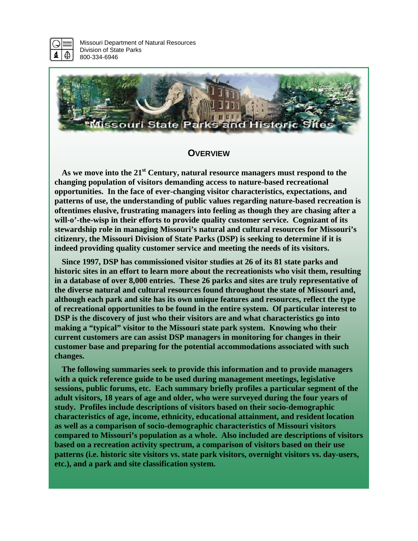

Missouri Department of Natural Resources Division of State Parks 800-334-6946



### **OVERVIEW**

As we move into the 21<sup>st</sup> Century, natural resource managers must respond to the **changing population of visitors demanding access to nature-based recreational opportunities. In the face of ever-changing visitor characteristics, expectations, and patterns of use, the understanding of public values regarding nature-based recreation is oftentimes elusive, frustrating managers into feeling as though they are chasing after a will-o'-the-wisp in their efforts to provide quality customer service. Cognizant of its stewardship role in managing Missouri's natural and cultural resources for Missouri's citizenry, the Missouri Division of State Parks (DSP) is seeking to determine if it is indeed providing quality customer service and meeting the needs of its visitors.** 

**Since 1997, DSP has commissioned visitor studies at 26 of its 81 state parks and historic sites in an effort to learn more about the recreationists who visit them, resulting in a database of over 8,000 entries. These 26 parks and sites are truly representative of the diverse natural and cultural resources found throughout the state of Missouri and, although each park and site has its own unique features and resources, reflect the type of recreational opportunities to be found in the entire system. Of particular interest to DSP is the discovery of just who their visitors are and what characteristics go into making a "typical" visitor to the Missouri state park system. Knowing who their current customers are can assist DSP managers in monitoring for changes in their customer base and preparing for the potential accommodations associated with such changes.** 

**The following summaries seek to provide this information and to provide managers with a quick reference guide to be used during management meetings, legislative sessions, public forums, etc. Each summary briefly profiles a particular segment of the adult visitors, 18 years of age and older, who were surveyed during the four years of study. Profiles include descriptions of visitors based on their socio-demographic characteristics of age, income, ethnicity, educational attainment, and resident location as well as a comparison of socio-demographic characteristics of Missouri visitors compared to Missouri's population as a whole. Also included are descriptions of visitors based on a recreation activity spectrum, a comparison of visitors based on their use patterns (i.e. historic site visitors vs. state park visitors, overnight visitors vs. day-users, etc.), and a park and site classification system.**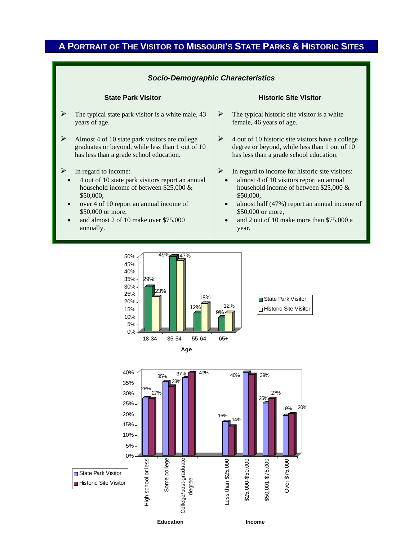## **A PORTRAIT OF THE VISITOR TO MISSOURI'S STATE PARKS & HISTORIC SITES**

### *Socio-Demographic Characteristics*

- $\triangleright$  The typical state park visitor is a white male, 43 years of age.
- $\blacktriangleright$  Almost 4 of 10 state park visitors are college graduates or beyond, while less than 1 out of 10 has less than a grade school education.
- $\triangleright$  In regard to income:
	- 4 out of 10 state park visitors report an annual household income of between \$25,000 & \$50,000,
	- over 4 of 10 report an annual income of \$50,000 or more,
	- and almost 2 of 10 make over \$75,000 annually.

### **State Park Visitor Community Community Community Community Community Community Community Community Community Community Community Community Community Community Community Community Community Community Community Community Co**

- $\triangleright$  The typical historic site visitor is a white female, 46 years of age.
- $\triangleright$  4 out of 10 historic site visitors have a college degree or beyond, while less than 1 out of 10 has less than a grade school education.
- $\triangleright$  In regard to income for historic site visitors:
	- almost 4 of 10 visitors report an annual household income of between \$25,000 & \$50,000,
	- almost half (47%) report an annual income of \$50,000 or more,
	- and 2 out of 10 make more than \$75,000 a year.

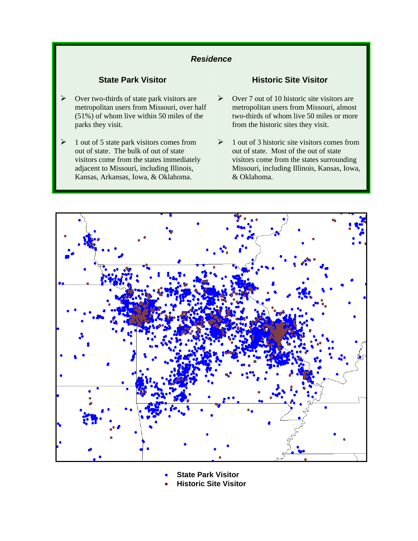## *Residence*

- Over two-thirds of state park visitors are metropolitan users from Missouri, over half (51%) of whom live within 50 miles of the parks they visit.
- $\geq 1$  out of 5 state park visitors comes from out of state. The bulk of out of state visitors come from the states immediately adjacent to Missouri, including Illinois, Kansas, Arkansas, Iowa, & Oklahoma.

## **State Park Visitor Community Community Community Community Community Community Community Community Community Community Community Community Community Community Community Community Community Community Community Community Co**

- $\triangleright$  Over 7 out of 10 historic site visitors are metropolitan users from Missouri, almost two-thirds of whom live 50 miles or more from the historic sites they visit.
- $\geq 1$  out of 3 historic site visitors comes from out of state. Most of the out of state visitors come from the states surrounding Missouri, including Illinois, Kansas, Iowa, & Oklahoma.



• **State Park Visitor** 

• **Historic Site Visitor**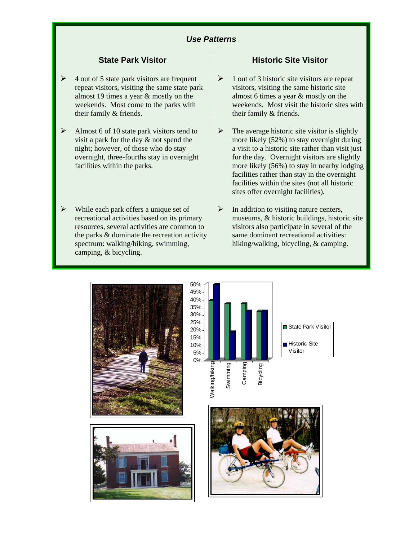- $\triangleright$  4 out of 5 state park visitors are frequent repeat visitors, visiting the same state park almost 19 times a year & mostly on the weekends. Most come to the parks with their family & friends.
- $\triangleright$  Almost 6 of 10 state park visitors tend to visit a park for the day & not spend the night; however, of those who do stay overnight, three-fourths stay in overnight facilities within the parks.
- $\triangleright$  While each park offers a unique set of recreational activities based on its primary resources, several activities are common to the parks & dominate the recreation activity spectrum: walking/hiking, swimming, camping, & bicycling.

## **State Park Visitor Community Community Community Community Community Community Community Community Community**

- $\geq 1$  out of 3 historic site visitors are repeat visitors, visiting the same historic site almost 6 times a year & mostly on the weekends. Most visit the historic sites with their family & friends.
- $\triangleright$  The average historic site visitor is slightly more likely (52%) to stay overnight during a visit to a historic site rather than visit just for the day. Overnight visitors are slightly more likely (56%) to stay in nearby lodging facilities rather than stay in the overnight facilities within the sites (not all historic sites offer overnight facilities).
- $\triangleright$  In addition to visiting nature centers, museums, & historic buildings, historic site visitors also participate in several of the same dominant recreational activities: hiking/walking, bicycling, & camping.

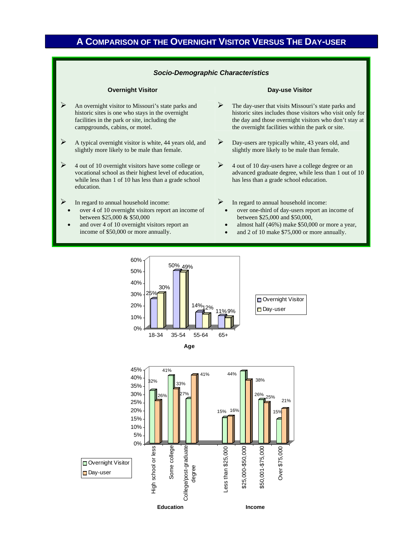## **A COMPARISON OF THE OVERNIGHT VISITOR VERSUS THE DAY-USER**

### *Socio-Demographic Characteristics*

### **Overnight Visitor Community Community Community Community Community Day-use Visitor**

- $\triangleright$  An overnight visitor to Missouri's state parks and historic sites is one who stays in the overnight facilities in the park or site, including the campgrounds, cabins, or motel.
- $\triangleright$  A typical overnight visitor is white, 44 years old, and slightly more likely to be male than female.
- $\triangleright$  4 out of 10 overnight visitors have some college or vocational school as their highest level of education, while less than 1 of 10 has less than a grade school education.
- In regard to annual household income:
- over 4 of 10 overnight visitors report an income of between \$25,000 & \$50,000
- and over 4 of 10 overnight visitors report an income of \$50,000 or more annually.

- $\triangleright$  The day-user that visits Missouri's state parks and historic sites includes those visitors who visit only for the day and those overnight visitors who don't stay at the overnight facilities within the park or site.
- ¾ Day-users are typically white, 43 years old, and slightly more likely to be male than female.
- $\triangleright$  4 out of 10 day-users have a college degree or an advanced graduate degree, while less than 1 out of 10 has less than a grade school education.
- In regard to annual household income:
	- over one-third of day-users report an income of between \$25,000 and \$50,000,
	- almost half (46%) make \$50,000 or more a year,
	- and 2 of 10 make \$75,000 or more annually.

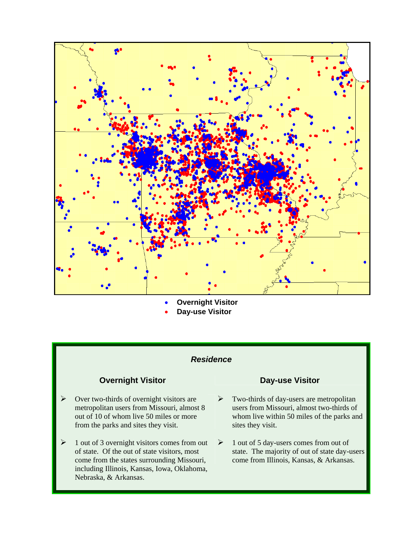

• **Overnight Visitor**  • **Day-use Visitor** 

### *Residence*

## **Overnight Visitor Coverse Visitor Coverse Visitor**

- $\triangleright$  Over two-thirds of overnight visitors are metropolitan users from Missouri, almost 8 out of 10 of whom live 50 miles or more from the parks and sites they visit.
- $\geq 1$  out of 3 overnight visitors comes from out of state. Of the out of state visitors, most come from the states surrounding Missouri, including Illinois, Kansas, Iowa, Oklahoma, Nebraska, & Arkansas.

- $\triangleright$  Two-thirds of day-users are metropolitan users from Missouri, almost two-thirds of whom live within 50 miles of the parks and sites they visit.
- $\geq 1$  out of 5 day-users comes from out of state. The majority of out of state day-users come from Illinois, Kansas, & Arkansas.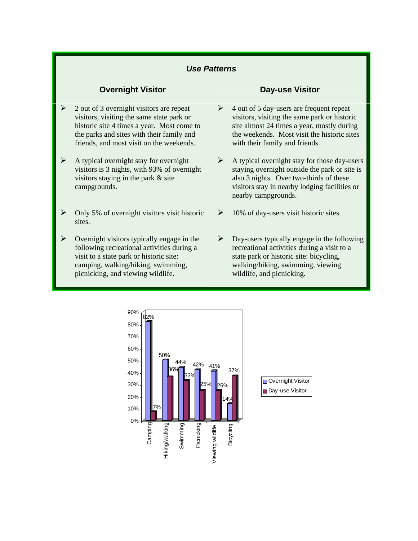- ¾ 2 out of 3 overnight visitors are repeat visitors, visiting the same state park or historic site 4 times a year. Most come to the parks and sites with their family and friends, and most visit on the weekends.
- $\triangleright$  A typical overnight stay for overnight visitors is 3 nights, with 93% of overnight visitors staying in the park & site campgrounds.
- $\triangleright$  Only 5% of overnight visitors visit historic sites.
- $\triangleright$  Overnight visitors typically engage in the following recreational activities during a visit to a state park or historic site: camping, walking/hiking, swimming, picnicking, and viewing wildlife.

### **Overnight Visitor Coverse Visitor Coverse Visitor**

- $\triangleright$  4 out of 5 day-users are frequent repeat visitors, visiting the same park or historic site almost 24 times a year, mostly during the weekends. Most visit the historic sites with their family and friends.
- $\triangleright$  A typical overnight stay for those day-users staying overnight outside the park or site is also 3 nights. Over two-thirds of these visitors stay in nearby lodging facilities or nearby campgrounds.
- $\geq 10\%$  of day-users visit historic sites.
- $\triangleright$  Day-users typically engage in the following recreational activities during a visit to a state park or historic site: bicycling, walking/hiking, swimming, viewing wildlife, and picnicking.

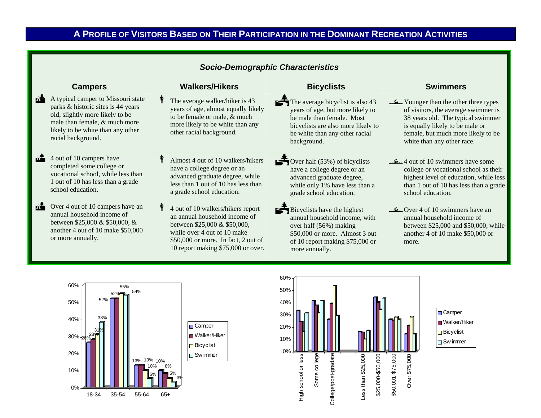## **A PROFILE OF VISITORS BASED ON THEIR PARTICIPATION IN THE DOMINANT RECREATION ACTIVITIES**

### *Socio-Demographic Characteristics*

- $\mathbf{A}$  A typical camper to Missouri state parks & historic sites is 44 years old, slightly more likely to be male than female, & much more likely to be white than any other racial background.
- $4$  out of 10 campers have completed some college or vocational school, while less than 1 out of 10 has less than a grade school education.
- $\mathbf{A}$  Over 4 out of 10 campers have an annual household income of between \$25,000 & \$50,000, & another 4 out of 10 make \$50,000 or more annually.

## **Campers Campers Walkers/Hikers Bicyclists Bicyclists Swimmers**

 $\mathring{\textbf{f}}$ 

- The average walker/hiker is 43 years of age, almost equally likely to be female or male, & much more likely to be white than any other racial background.
- $\mathring{\textbf{f}}$  Almost 4 out of 10 walkers/hikers have a college degree or an advanced graduate degree, while less than 1 out of 10 has less than a grade school education.
- $\mathring{\textbf{f}}$  4 out of 10 walkers/hikers report an annual household income of between \$25,000 & \$50,000, while over 4 out of 10 make \$50,000 or more. In fact, 2 out of 10 report making \$75,000 or over.

- The average bicyclist is also 43 years of age, but more likely to be male than female. Most bicyclists are also more likely to be white than any other racial background.
	- Over half  $(53%)$  of bicyclists have a college degree or an advanced graduate degree, while only 1% have less than a grade school education.
- Bicyclists have the highest annual household income, with over half (56%) making \$50,000 or more. Almost 3 out of 10 report making \$75,000 or more annually.

- lYounger than the other three types of visitors, the average swimmer is 38 years old. The typical swimmer is equally likely to be male or female, but much more likely to be white than any other race.
- $\frac{1}{2}$ 4 out of 10 swimmers have some college or vocational school as their highest level of education, while less than 1 out of 10 has less than a grade school education.
- $\mathcal{L}_{\mathbf{L}}$ Over 4 of 10 swimmers have an annual household income of between \$25,000 and \$50,000, while another 4 of 10 make \$50,000 or more.



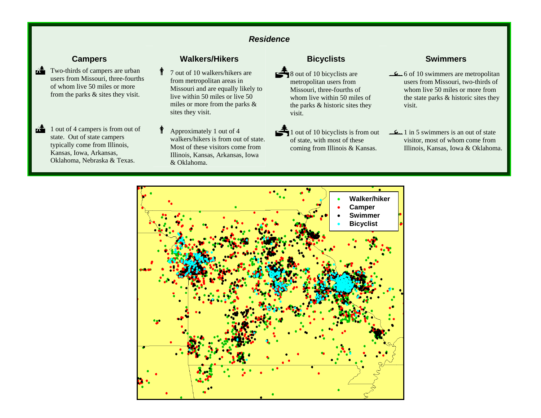## *Residence*

- $\mathbf{A}$  Two-thirds of campers are urban users from Missouri, three-fourths of whom live 50 miles or more from the parks & sites they visit.
- $\mathbf{A}$  1 out of 4 campers is from out of state. Out of state campers typically come from Illinois, Kansas, Iowa, Arkansas, Oklahoma, Nebraska & Texas.

## **Campers Campers Walkers/Hikers Bicyclists Bicyclists Swimmers**

 $\mathring{\textbf{f}}$ 

- 7 out of 10 walkers/hikers are from metropolitan areas in Missouri and are equally likely to live within 50 miles or live 50 miles or more from the parks & sites they visit.
- $\mathring{\textbf{f}}$  Approximately 1 out of 4 walkers/hikers is from out of state. Most of these visitors come from Illinois, Kansas, Arkansas, Iowa & Oklahoma.

8 out of 10 bicyclists are metropolitan users from Missouri, three-fourths of whom live within 50 miles of the parks & historic sites they visit.

 $\mathbf{\hat{3}}$  1 out of 10 bicyclists is from out of state, with most of these coming from Illinois & Kansas.

- l6 of 10 swimmers are metropolitan users from Missouri, two-thirds of whom live 50 miles or more from the state parks & historic sites they visit.
- المسكليد 1 in 5 swimmers is an out of state visitor, most of whom come from Illinois, Kansas, Iowa & Oklahoma.

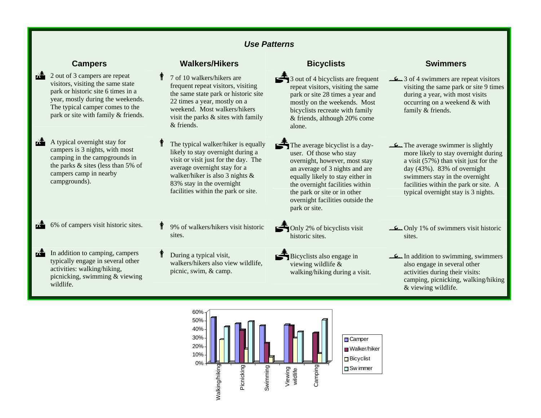$\mathbf{A}$  2 out of 3 campers are repeat visitors, visiting the same state park or historic site 6 times in a year, mostly during the weekends. The typical camper comes to the park or site with family & friends.

 $\mathbf{A}$  A typical overnight stay for campers is 3 nights, with most camping in the campgrounds in the parks & sites (less than 5% of campers camp in nearby campgrounds).

 $\mathbf{A}$  6% of campers visit historic sites.

 $\mathbf{A}$  In addition to camping, campers typically engage in several other activities: walking/hiking, picnicking, swimming & viewing wildlife.

### **Campers Campers Walkers/Hikers Bicyclists Bicyclists Swimmers**

 $\mathring{\textbf{f}}$ 

 7 of 10 walkers/hikers are frequent repeat visitors, visiting the same state park or historic site 22 times a year, mostly on a weekend. Most walkers/hikers visit the parks & sites with family & friends.

- $\mathring{\textbf{f}}$  The typical walker/hiker is equally likely to stay overnight during a visit or visit just for the day. The average overnight stay for a walker/hiker is also 3 nights & 83% stay in the overnight facilities within the park or site.
- 9% of walkers/hikers visit historic
- $\mathring{\textbf{f}}$  During a typical visit, walkers/hikers also view wildlife, picnic, swim, & camp.

 $\leq$  3 out of 4 bicyclists are frequent repeat visitors, visiting the same park or site 28 times a year and mostly on the weekends. Most bicyclists recreate with family & friends, although 20% come alone.

- The average bicyclist is a dayuser. Of those who stay overnight, however, most stay an average of 3 nights and are equally likely to stay either in the overnight facilities within the park or site or in other overnight facilities outside the park or site.
- 
- Bicyclists also engage in viewing wildlife & walking/hiking during a visit.

- l3 of 4 swimmers are repeat visitors visiting the same park or site 9 times during a year, with most visits occurring on a weekend & with family & friends.
- The average swimmer is slightly more likely to stay overnight during a visit (57%) than visit just for the day (43%). 83% of overnight swimmers stay in the overnight facilities within the park or site. A typical overnight stay is 3 nights.
- 9% of walkers/hikers visit historic  $\bigcirc$  Only 2% of bicyclists visit  $\bigcirc$  Only 1% of swimmers visit historic sites.
	- lIn addition to swimming, swimmers also engage in several other activities during their visits: camping, picnicking, walking/hiking & viewing wildlife.

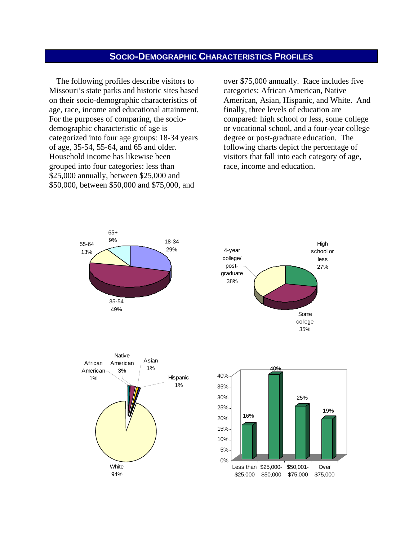## **SOCIO-DEMOGRAPHIC CHARACTERISTICS PROFILES**

The following profiles describe visitors to Missouri's state parks and historic sites based on their socio-demographic characteristics of age, race, income and educational attainment. For the purposes of comparing, the sociodemographic characteristic of age is categorized into four age groups: 18-34 years of age, 35-54, 55-64, and 65 and older. Household income has likewise been grouped into four categories: less than \$25,000 annually, between \$25,000 and \$50,000, between \$50,000 and \$75,000, and

over \$75,000 annually. Race includes five categories: African American, Native American, Asian, Hispanic, and White. And finally, three levels of education are compared: high school or less, some college or vocational school, and a four-year college degree or post-graduate education. The following charts depict the percentage of visitors that fall into each category of age, race, income and education.

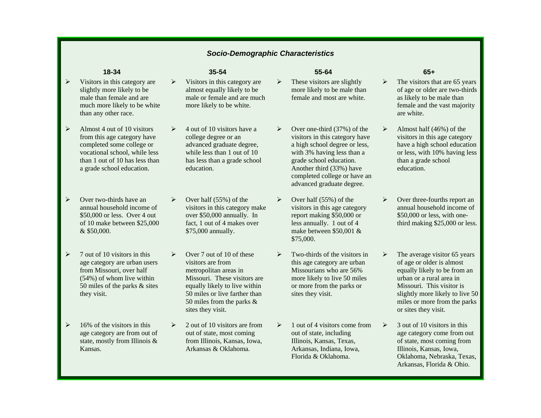### *Socio-Demographic Characteristics*

 $\triangleright$ 

- $\triangleright$  Visitors in this category are slightly more likely to be male than female and are much more likely to be white than any other race.
- $\blacktriangleright$  Almost 4 out of 10 visitors from this age category have completed some college or vocational school, while less than 1 out of 10 has less than a grade school education.
- $\blacktriangleright$  Over two-thirds have an annual household income of \$50,000 or less. Over 4 out of 10 make between \$25,000 & \$50,000.
- $\triangleright$  7 out of 10 visitors in this age category are urban users from Missouri, over half (54%) of whom live within 50 miles of the parks & sites they visit.
- $\triangleright$  16% of the visitors in this age category are from out of state, mostly from Illinois & Kansas.

- ¾ Visitors in this category are almost equally likely to be male or female and are much more likely to be white.
- ¾ 4 out of 10 visitors have a college degree or an advanced graduate degree, while less than 1 out of 10 has less than a grade school education.
- $\blacktriangleright$  Over half (55%) of the visitors in this category make over \$50,000 annually. In fact, 1 out of 4 makes over \$75,000 annually.
- $\blacktriangleright$  Over 7 out of 10 of these visitors are from metropolitan areas in Missouri. These visitors are equally likely to live within 50 miles or live farther than 50 miles from the parks & sites they visit.
- $\blacktriangleright$  2 out of 10 visitors are from out of state, most coming from Illinois, Kansas, Iowa, Arkansas & Oklahoma.

### **18-34 35-54 55-64 65+**

- These visitors are slightly more likely to be male than female and most are white.
- $\blacktriangleright$  Over one-third (37%) of the visitors in this category have a high school degree or less, with 3% having less than a grade school education. Another third (33%) have completed college or have an advanced graduate degree.
- ¾ Over half (55%) of the visitors in this age category report making \$50,000 or less annually. 1 out of 4 make between \$50,001 & \$75,000.
- $\triangleright$  Two-thirds of the visitors in this age category are urban Missourians who are 56% more likely to live 50 miles or more from the parks or sites they visit.
- $\triangleright$  1 out of 4 visitors come from out of state, including Illinois, Kansas, Texas, Arkansas, Indiana, Iowa, Florida & Oklahoma.

- ¾ The visitors that are 65 years of age or older are two-thirds as likely to be male than female and the vast majority are white.
- ¾ Almost half (46%) of the visitors in this age category have a high school education or less, with 10% having less than a grade school education.
- $\blacktriangleright$  Over three-fourths report an annual household income of \$50,000 or less, with onethird making \$25,000 or less.
- ¾ The average visitor 65 years of age or older is almost equally likely to be from an urban or a rural area in Missouri. This visitor is slightly more likely to live 50 miles or more from the parks or sites they visit.
- $\triangleright$  3 out of 10 visitors in this age category come from out of state, most coming from Illinois, Kansas, Iowa, Oklahoma, Nebraska, Texas, Arkansas, Florida & Ohio.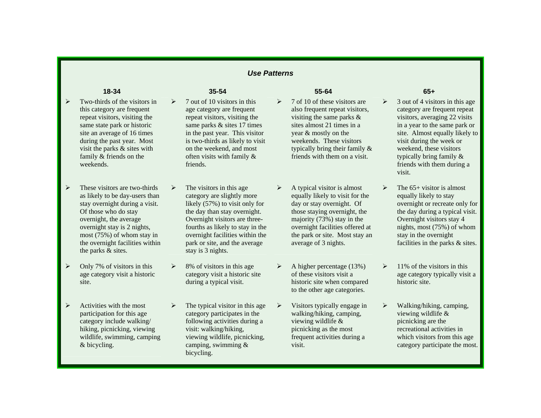- $\blacktriangleright$  Two-thirds of the visitors in this category are frequent repeat visitors, visiting the same state park or historic site an average of 16 times during the past year. Most visit the parks & sites with family & friends on the weekends.
- $\triangleright$  These visitors are two-thirds as likely to be day-users than stay overnight during a visit. Of those who do stay overnight, the average overnight stay is 2 nights, most (75%) of whom stay in the overnight facilities within the parks & sites.
- $\triangleright$  Only 7% of visitors in this age category visit a historic site.
- $\blacktriangleright$  Activities with the most participation for this age category include walking/ hiking, picnicking, viewing wildlife, swimming, camping & bicycling.

- $\blacktriangleright$  7 out of 10 visitors in this age category are frequent repeat visitors, visiting the same parks & sites 17 times in the past year. This visitor is two-thirds as likely to visit on the weekend, and most often visits with family & friends.
- ¾ The visitors in this age category are slightly more likely (57%) to visit only for the day than stay overnight. Overnight visitors are threefourths as likely to stay in the overnight facilities within the park or site, and the average stay is 3 nights.
- $\blacktriangleright$  8% of visitors in this age category visit a historic site during a typical visit.
- $\blacktriangleright$  The typical visitor in this age category participates in the following activities during a visit: walking/hiking, viewing wildlife, picnicking, camping, swimming & bicycling.

### **18-34 35-54 55-64 65+**

- $\triangleright$  7 of 10 of these visitors are also frequent repeat visitors, visiting the same parks & sites almost 21 times in a year & mostly on the weekends. These visitors typically bring their family & friends with them on a visit.
- $\triangleright$  A typical visitor is almost equally likely to visit for the day or stay overnight. Of those staying overnight, the majority (73%) stay in the overnight facilities offered at the park or site. Most stay an average of 3 nights.
- $\triangleright$  A higher percentage (13%) of these visitors visit a historic site when compared to the other age categories.
- $\rightarrow$  Visitors typically engage in walking/hiking, camping, viewing wildlife & picnicking as the most frequent activities during a visit.

- ¾ 3 out of 4 visitors in this age category are frequent repeat visitors, averaging 22 visits in a year to the same park or site. Almost equally likely to visit during the week or weekend, these visitors typically bring family & friends with them during a visit.
- $\blacktriangleright$ The  $65+$  visitor is almost equally likely to stay overnight or recreate only for the day during a typical visit. Overnight visitors stay 4 nights, most (75%) of whom stay in the overnight facilities in the parks & sites.
- $\blacktriangleright$  11% of the visitors in this age category typically visit a historic site.
- $\blacktriangleright$  Walking/hiking, camping, viewing wildlife & picnicking are the recreational activities in which visitors from this age category participate the most.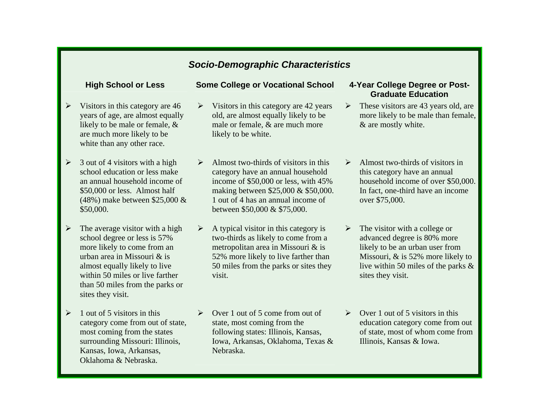## *Socio-Demographic Characteristics*

- $\blacktriangleright$  Visitors in this category are 46 years of age, are almost equally likely to be male or female, & are much more likely to be white than any other race.
- $\blacktriangleright$  3 out of 4 visitors with a high school education or less make an annual household income of \$50,000 or less. Almost half (48%) make between \$25,000 & \$50,000.
- $\triangleright$  The average visitor with a high school degree or less is 57% more likely to come from an urban area in Missouri & is almost equally likely to live within 50 miles or live farther than 50 miles from the parks or sites they visit.
- $\triangleright$  1 out of 5 visitors in this category come from out of state, most coming from the states surrounding Missouri: Illinois, Kansas, Iowa, Arkansas, Oklahoma & Nebraska.

## High School or Less Some College or Vocational School 4-Year College Degree or Post-

- $\triangleright$  Visitors in this category are 42 years old, are almost equally likely to be male or female, & are much more likely to be white.
- $\blacktriangleright$  Almost two-thirds of visitors in this category have an annual household income of \$50,000 or less, with 45% making between \$25,000 & \$50,000. 1 out of 4 has an annual income of between \$50,000 & \$75,000.
- $\blacktriangleright$  A typical visitor in this category is two-thirds as likely to come from a metropolitan area in Missouri & is 52% more likely to live farther than 50 miles from the parks or sites they visit.
- ¾ Over 1 out of 5 come from out of state, most coming from the following states: Illinois, Kansas, Iowa, Arkansas, Oklahoma, Texas & Nebraska.

# **Graduate Education**

- $\triangleright$  These visitors are 43 years old, are more likely to be male than female, & are mostly white.
- $\blacktriangleright$  Almost two-thirds of visitors in this category have an annual household income of over \$50,000. In fact, one-third have an income over \$75,000.
- $\blacktriangleright$  The visitor with a college or advanced degree is 80% more likely to be an urban user from Missouri, & is 52% more likely to live within 50 miles of the parks & sites they visit.
- ¾ Over 1 out of 5 visitors in this education category come from out of state, most of whom come from Illinois, Kansas & Iowa.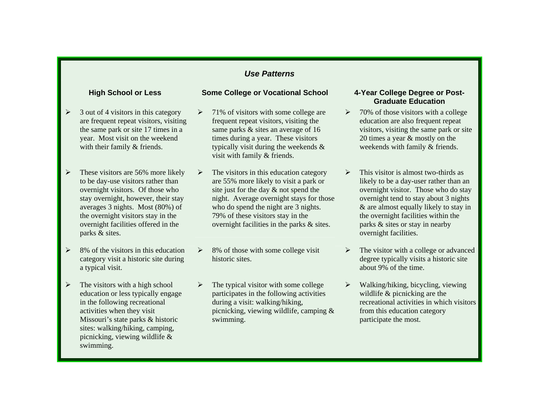- $\blacktriangleright$  3 out of 4 visitors in this category are frequent repeat visitors, visiting the same park or site 17 times in a year. Most visit on the weekend with their family  $&$  friends.
- ¾ These visitors are 56% more likely to be day-use visitors rather than overnight visitors. Of those who stay overnight, however, their stay averages 3 nights. Most (80%) of the overnight visitors stay in the overnight facilities offered in the parks & sites.
- $\triangleright$  8% of the visitors in this education category visit a historic site during a typical visit.
- $\triangleright$  The visitors with a high school education or less typically engage in the following recreational activities when they visit Missouri's state parks & historic sites: walking/hiking, camping, picnicking, viewing wildlife & swimming.

### **High School or Less Some College or Vocational School 4-Year College Degree or Post-**

- $\blacktriangleright$  71% of visitors with some college are frequent repeat visitors, visiting the same parks & sites an average of 16 times during a year. These visitors typically visit during the weekends & visit with family & friends.
- ¾ The visitors in this education category are 55% more likely to visit a park or site just for the day & not spend the night. Average overnight stays for those who do spend the night are 3 nights. 79% of these visitors stay in the overnight facilities in the parks & sites.
- $\blacktriangleright$  8% of those with some college visit historic sites.
- $\triangleright$  The typical visitor with some college participates in the following activities during a visit: walking/hiking, picnicking, viewing wildlife, camping & swimming.

# **Graduate Education**

- $\blacktriangleright$  70% of those visitors with a college education are also frequent repeat visitors, visiting the same park or site 20 times a year & mostly on the weekends with family & friends.
- $\blacktriangleright$  This visitor is almost two-thirds as likely to be a day-user rather than an overnight visitor. Those who do stay overnight tend to stay about 3 nights & are almost equally likely to stay in the overnight facilities within the parks & sites or stay in nearby overnight facilities.
- $\blacktriangleright$  The visitor with a college or advanced degree typically visits a historic site about 9% of the time.
- ¾ Walking/hiking, bicycling, viewing wildlife & picnicking are the recreational activities in which visitors from this education category participate the most.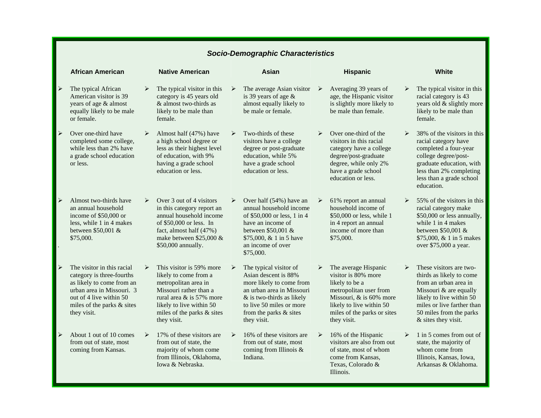|                       | <b>African American</b>                                                                                                                                                                   |                       | <b>Native American</b>                                                                                                                                                                                   |                       | Asian                                                                                                                                                                                                     |                       | <b>Hispanic</b>                                                                                                                                                                              |                       | <b>White</b>                                                                                                                                                                                                       |
|-----------------------|-------------------------------------------------------------------------------------------------------------------------------------------------------------------------------------------|-----------------------|----------------------------------------------------------------------------------------------------------------------------------------------------------------------------------------------------------|-----------------------|-----------------------------------------------------------------------------------------------------------------------------------------------------------------------------------------------------------|-----------------------|----------------------------------------------------------------------------------------------------------------------------------------------------------------------------------------------|-----------------------|--------------------------------------------------------------------------------------------------------------------------------------------------------------------------------------------------------------------|
| $\blacktriangleright$ | The typical African<br>American visitor is 39<br>years of age & almost<br>equally likely to be male<br>or female.                                                                         | $\blacktriangleright$ | The typical visitor in this<br>category is 45 years old<br>& almost two-thirds as<br>likely to be male than<br>female.                                                                                   | ≻                     | The average Asian visitor<br>is 39 years of age $\&$<br>almost equally likely to<br>be male or female.                                                                                                    | ▸                     | Averaging 39 years of<br>age, the Hispanic visitor<br>is slightly more likely to<br>be male than female.                                                                                     | ➤                     | The typical visitor in this<br>racial category is 43<br>years old & slightly more<br>likely to be male than<br>female.                                                                                             |
| $\blacktriangleright$ | Over one-third have<br>completed some college,<br>while less than 2% have<br>a grade school education<br>or less.                                                                         |                       | Almost half (47%) have<br>a high school degree or<br>less as their highest level<br>of education, with 9%<br>having a grade school<br>education or less.                                                 | $\blacktriangleright$ | Two-thirds of these<br>visitors have a college<br>degree or post-graduate<br>education, while 5%<br>have a grade school<br>education or less.                                                             | $\blacktriangleright$ | Over one-third of the<br>visitors in this racial<br>category have a college<br>degree/post-graduate<br>degree, while only 2%<br>have a grade school<br>education or less.                    | $\blacktriangleright$ | 38% of the visitors in this<br>racial category have<br>completed a four-year<br>college degree/post-<br>graduate education, with<br>less than 2% completing<br>less than a grade school<br>education.              |
| $\blacktriangleright$ | Almost two-thirds have<br>an annual household<br>income of \$50,000 or<br>less, while 1 in 4 makes<br>between \$50,001 &<br>\$75,000.                                                     | $\blacktriangleright$ | Over 3 out of 4 visitors<br>in this category report an<br>annual household income<br>of \$50,000 or less. In<br>fact, almost half (47%)<br>make between \$25,000 $&$<br>\$50,000 annually.               | ≻                     | Over half (54%) have an<br>annual household income<br>of \$50,000 or less, 1 in 4<br>have an income of<br>between \$50,001 &<br>\$75,000, & 1 in 5 have<br>an income of over<br>\$75,000.                 | ≻                     | 61% report an annual<br>household income of<br>\$50,000 or less, while 1<br>in 4 report an annual<br>income of more than<br>\$75,000.                                                        | ≻                     | 55% of the visitors in this<br>racial category make<br>\$50,000 or less annually,<br>while 1 in 4 makes<br>between \$50,001 &<br>\$75,000, & 1 in 5 makes<br>over \$75,000 a year.                                 |
| $\blacktriangleright$ | The visitor in this racial<br>category is three-fourths<br>as likely to come from an<br>urban area in Missouri. 3<br>out of 4 live within 50<br>miles of the parks & sites<br>they visit. |                       | This visitor is 59% more<br>likely to come from a<br>metropolitan area in<br>Missouri rather than a<br>rural area & is 57% more<br>likely to live within 50<br>miles of the parks & sites<br>they visit. |                       | The typical visitor of<br>Asian descent is 88%<br>more likely to come from<br>an urban area in Missouri<br>& is two-thirds as likely<br>to live 50 miles or more<br>from the parks & sites<br>they visit. |                       | The average Hispanic<br>visitor is 80% more<br>likely to be a<br>metropolitan user from<br>Missouri, & is 60% more<br>likely to live within 50<br>miles of the parks or sites<br>they visit. |                       | These visitors are two-<br>thirds as likely to come<br>from an urban area in<br>Missouri & are equally<br>likely to live within 50<br>miles or live farther than<br>50 miles from the parks<br>& sites they visit. |
| $\blacktriangleright$ | About 1 out of 10 comes<br>from out of state, most<br>coming from Kansas.                                                                                                                 | $\triangleright$      | 17% of these visitors are<br>from out of state, the<br>majority of whom come<br>from Illinois, Oklahoma,<br>Iowa & Nebraska.                                                                             | $\triangleright$      | 16% of these visitors are<br>from out of state, most<br>coming from Illinois $\&$<br>Indiana.                                                                                                             | $\blacktriangleright$ | 16% of the Hispanic<br>visitors are also from out<br>of state, most of whom<br>come from Kansas,<br>Texas, Colorado &<br>Illinois.                                                           | $\triangleright$      | 1 in 5 comes from out of<br>state, the majority of<br>whom come from<br>Illinois, Kansas, Iowa,<br>Arkansas & Oklahoma.                                                                                            |

## *Socio-Demographic Characteristics*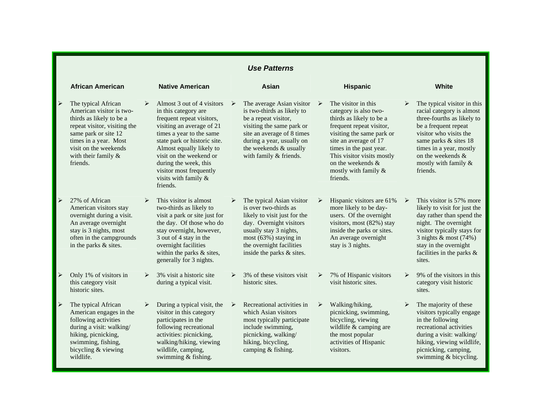|   |                                                                                                                                                                                                                             |                       |                                                                                                                                                                                                                                                                                                                          |                       | <b>Use Patterns</b>                                                                                                                                                                                                         |   |                                                                                                                                                                                                                                                                              |                       |                                                                                                                                                                                                                                                          |
|---|-----------------------------------------------------------------------------------------------------------------------------------------------------------------------------------------------------------------------------|-----------------------|--------------------------------------------------------------------------------------------------------------------------------------------------------------------------------------------------------------------------------------------------------------------------------------------------------------------------|-----------------------|-----------------------------------------------------------------------------------------------------------------------------------------------------------------------------------------------------------------------------|---|------------------------------------------------------------------------------------------------------------------------------------------------------------------------------------------------------------------------------------------------------------------------------|-----------------------|----------------------------------------------------------------------------------------------------------------------------------------------------------------------------------------------------------------------------------------------------------|
|   | <b>African American</b>                                                                                                                                                                                                     |                       | <b>Native American</b>                                                                                                                                                                                                                                                                                                   |                       | Asian                                                                                                                                                                                                                       |   | <b>Hispanic</b>                                                                                                                                                                                                                                                              |                       | <b>White</b>                                                                                                                                                                                                                                             |
| ⋗ | The typical African<br>American visitor is two-<br>thirds as likely to be a<br>repeat visitor, visiting the<br>same park or site 12<br>times in a year. Most<br>visit on the weekends<br>with their family $\&$<br>friends. | $\blacktriangleright$ | Almost 3 out of 4 visitors<br>in this category are.<br>frequent repeat visitors,<br>visiting an average of 21<br>times a year to the same<br>state park or historic site.<br>Almost equally likely to<br>visit on the weekend or<br>during the week, this<br>visitor most frequently<br>visits with family &<br>friends. | $\blacktriangleright$ | The average Asian visitor<br>is two-thirds as likely to<br>be a repeat visitor,<br>visiting the same park or<br>site an average of 8 times<br>during a year, usually on<br>the weekends & usually<br>with family & friends. | ➤ | The visitor in this<br>category is also two-<br>thirds as likely to be a<br>frequent repeat visitor,<br>visiting the same park or<br>site an average of 17<br>times in the past year.<br>This visitor visits mostly<br>on the weekends &<br>mostly with family &<br>friends. | $\triangleright$      | The typical visitor in this<br>racial category is almost<br>three-fourths as likely to<br>be a frequent repeat<br>visitor who visits the<br>same parks & sites 18<br>times in a year, mostly<br>on the weekends &<br>mostly with family $\&$<br>friends. |
| ⋗ | 27% of African<br>American visitors stay<br>overnight during a visit.<br>An average overnight<br>stay is 3 nights, most<br>often in the campgrounds<br>in the parks & sites.                                                |                       | This visitor is almost<br>two-thirds as likely to<br>visit a park or site just for<br>the day. Of those who do<br>stay overnight, however,<br>3 out of 4 stay in the<br>overnight facilities<br>within the parks & sites,<br>generally for 3 nights.                                                                     | ≻                     | The typical Asian visitor<br>is over two-thirds as<br>likely to visit just for the<br>day. Overnight visitors<br>usually stay 3 nights,<br>most (63%) staying in<br>the overnight facilities<br>inside the parks & sites.   |   | Hispanic visitors are 61%<br>more likely to be day-<br>users. Of the overnight<br>visitors, most (82%) stay<br>inside the parks or sites.<br>An average overnight<br>stay is 3 nights.                                                                                       | ➤                     | This visitor is 57% more<br>likely to visit for just the<br>day rather than spend the<br>night. The overnight<br>visitor typically stays for<br>3 nights $&$ most (74%)<br>stay in the overnight<br>facilities in the parks $\&$<br>sites.               |
| ≻ | Only 1% of visitors in<br>this category visit<br>historic sites.                                                                                                                                                            | $\triangleright$      | 3% visit a historic site<br>during a typical visit.                                                                                                                                                                                                                                                                      | ≻                     | 3% of these visitors visit<br>historic sites.                                                                                                                                                                               | ≻ | 7% of Hispanic visitors<br>visit historic sites.                                                                                                                                                                                                                             | $\blacktriangleright$ | 9% of the visitors in this<br>category visit historic<br>sites.                                                                                                                                                                                          |
| ➤ | The typical African<br>American engages in the<br>following activities<br>during a visit: walking/<br>hiking, picnicking,<br>swimming, fishing,<br>bicycling & viewing<br>wildlife.                                         |                       | During a typical visit, the<br>visitor in this category<br>participates in the<br>following recreational<br>activities: picnicking,<br>walking/hiking, viewing<br>wildlife, camping,<br>swimming & fishing.                                                                                                              | ➤                     | Recreational activities in<br>which Asian visitors<br>most typically participate<br>include swimming,<br>picnicking, walking/<br>hiking, bicycling,<br>camping & fishing.                                                   | ≻ | Walking/hiking,<br>picnicking, swimming,<br>bicycling, viewing<br>wildlife & camping are<br>the most popular<br>activities of Hispanic<br>visitors.                                                                                                                          | ≻                     | The majority of these<br>visitors typically engage<br>in the following<br>recreational activities<br>during a visit: walking/<br>hiking, viewing wildlife,<br>picnicking, camping,<br>swimming & bicycling.                                              |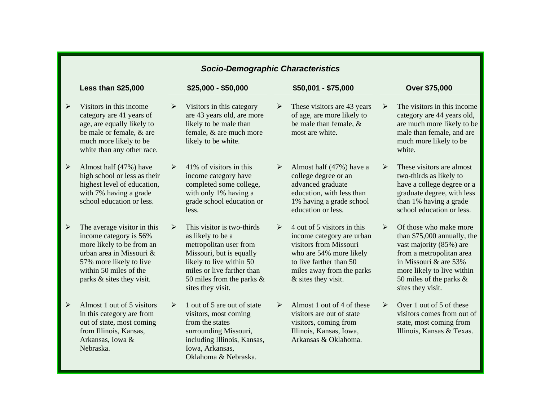|                       |                                                                                                                                                                                                  |                       | <b>Socio-Demographic Characteristics</b>                                                                                                                                                                             |                       |                                                                                                                                                                                              |                       |                                                                                                                                                                                                                        |
|-----------------------|--------------------------------------------------------------------------------------------------------------------------------------------------------------------------------------------------|-----------------------|----------------------------------------------------------------------------------------------------------------------------------------------------------------------------------------------------------------------|-----------------------|----------------------------------------------------------------------------------------------------------------------------------------------------------------------------------------------|-----------------------|------------------------------------------------------------------------------------------------------------------------------------------------------------------------------------------------------------------------|
|                       | <b>Less than \$25,000</b>                                                                                                                                                                        |                       | $$25,000 - $50,000$                                                                                                                                                                                                  |                       | \$50,001 - \$75,000                                                                                                                                                                          |                       | <b>Over \$75,000</b>                                                                                                                                                                                                   |
| $\blacktriangleright$ | Visitors in this income<br>category are 41 years of<br>age, are equally likely to<br>be male or female, & are<br>much more likely to be<br>white than any other race.                            | $\blacktriangleright$ | Visitors in this category<br>are 43 years old, are more<br>likely to be male than<br>female, & are much more<br>likely to be white.                                                                                  | $\blacktriangleright$ | These visitors are 43 years<br>of age, are more likely to<br>be male than female, &<br>most are white.                                                                                       | $\blacktriangleright$ | The visitors in this income<br>category are 44 years old,<br>are much more likely to be<br>male than female, and are<br>much more likely to be<br>white.                                                               |
| $\blacktriangleright$ | Almost half (47%) have<br>high school or less as their<br>highest level of education,<br>with 7% having a grade<br>school education or less.                                                     | ➤                     | 41% of visitors in this<br>income category have<br>completed some college,<br>with only 1% having a<br>grade school education or<br>less.                                                                            | $\blacktriangleright$ | Almost half (47%) have a<br>college degree or an<br>advanced graduate<br>education, with less than<br>1% having a grade school<br>education or less.                                         | $\blacktriangleright$ | These visitors are almost<br>two-thirds as likely to<br>have a college degree or a<br>graduate degree, with less<br>than 1% having a grade<br>school education or less.                                                |
| $\blacktriangleright$ | The average visitor in this<br>income category is 56%<br>more likely to be from an<br>urban area in Missouri &<br>57% more likely to live<br>within 50 miles of the<br>parks & sites they visit. | $\blacktriangleright$ | This visitor is two-thirds<br>as likely to be a<br>metropolitan user from<br>Missouri, but is equally<br>likely to live within 50<br>miles or live farther than<br>50 miles from the parks $\&$<br>sites they visit. | ➤                     | 4 out of 5 visitors in this<br>income category are urban<br>visitors from Missouri<br>who are 54% more likely<br>to live farther than 50<br>miles away from the parks<br>& sites they visit. | $\blacktriangleright$ | Of those who make more<br>than \$75,000 annually, the<br>vast majority (85%) are<br>from a metropolitan area<br>in Missouri & are 53%<br>more likely to live within<br>50 miles of the parks $\&$<br>sites they visit. |
| $\blacktriangleright$ | Almost 1 out of 5 visitors<br>in this category are from<br>out of state, most coming<br>from Illinois, Kansas,<br>Arkansas, Iowa &<br>Nebraska.                                                  | ➤                     | 1 out of 5 are out of state<br>visitors, most coming<br>from the states<br>surrounding Missouri,<br>including Illinois, Kansas,<br>Iowa, Arkansas,<br>Oklahoma & Nebraska.                                           | $\blacktriangleright$ | Almost 1 out of 4 of these<br>visitors are out of state<br>visitors, coming from<br>Illinois, Kansas, Iowa,<br>Arkansas & Oklahoma.                                                          | $\blacktriangleright$ | Over 1 out of 5 of these<br>visitors comes from out of<br>state, most coming from<br>Illinois, Kansas & Texas.                                                                                                         |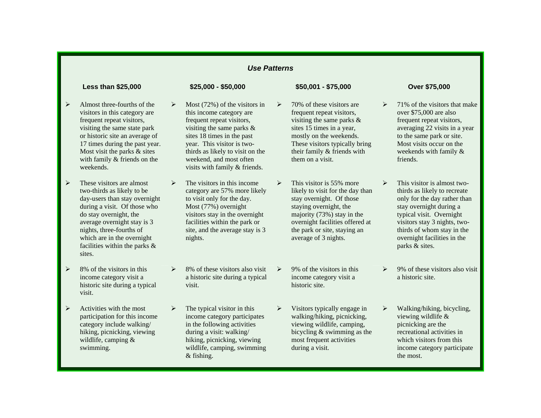$\triangleright$ 

### **Less than \$25,000 \$25,000 - \$50,000 \$50,001 - \$75,000 Over \$75,000**

- $\blacktriangleright$  Almost three-fourths of the visitors in this category are frequent repeat visitors, visiting the same state park or historic site an average of 17 times during the past year. Most visit the parks & sites with family & friends on the weekends.
- $\triangleright$  These visitors are almost two-thirds as likely to be day-users than stay overnight during a visit. Of those who do stay overnight, the average overnight stay is 3 nights, three-fourths of which are in the overnight facilities within the parks & sites.
- $\triangleright$  8% of the visitors in this income category visit a historic site during a typical visit.
- $\triangleright$  Activities with the most participation for this income category include walking/ hiking, picnicking, viewing wildlife, camping & swimming.

- $\blacktriangleright$  Most (72%) of the visitors in this income category are frequent repeat visitors, visiting the same parks & sites 18 times in the past year. This visitor is twothirds as likely to visit on the weekend, and most often visits with family & friends.
- $\blacktriangleright$  The visitors in this income category are 57% more likely to visit only for the day. Most (77%) overnight visitors stay in the overnight facilities within the park or site, and the average stay is 3 nights.
- $\blacktriangleright$  8% of these visitors also visit a historic site during a typical visit.
- $\blacktriangleright$  The typical visitor in this income category participates in the following activities during a visit: walking/ hiking, picnicking, viewing wildlife, camping, swimming & fishing.

 70% of these visitors are frequent repeat visitors, visiting the same parks & sites 15 times in a year, mostly on the weekends. These visitors typically bring their family & friends with them on a visit.

- $\triangleright$  This visitor is 55% more likely to visit for the day than stay overnight. Of those staying overnight, the majority (73%) stay in the overnight facilities offered at the park or site, staying an average of 3 nights.
- $\rightarrow$  9% of the visitors in this income category visit a historic site.
- $\blacktriangleright$  Visitors typically engage in walking/hiking, picnicking, viewing wildlife, camping, bicycling & swimming as the most frequent activities during a visit.

- $\blacktriangleright$  71% of the visitors that make over \$75,000 are also frequent repeat visitors, averaging 22 visits in a year to the same park or site. Most visits occur on the weekends with family & friends.
- $\triangleright$  This visitor is almost twothirds as likely to recreate only for the day rather than stay overnight during a typical visit. Overnight visitors stay 3 nights, twothirds of whom stay in the overnight facilities in the parks & sites.
- $\blacktriangleright$  9% of these visitors also visit a historic site.
- ¾ Walking/hiking, bicycling, viewing wildlife & picnicking are the recreational activities in which visitors from this income category participate the most.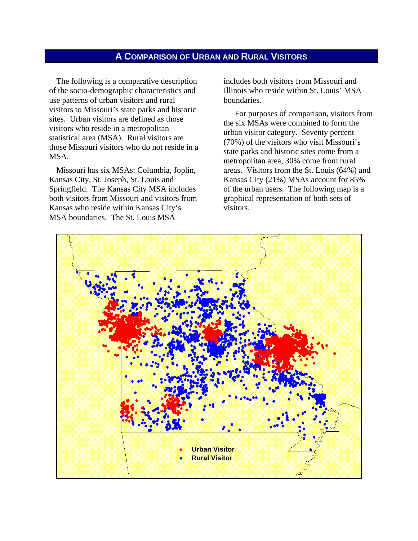## **A COMPARISON OF URBAN AND RURAL VISITORS**

The following is a comparative description of the socio-demographic characteristics and use patterns of urban visitors and rural visitors to Missouri's state parks and historic sites. Urban visitors are defined as those visitors who reside in a metropolitan statistical area (MSA). Rural visitors are those Missouri visitors who do not reside in a MSA.

Missouri has six MSAs: Columbia, Joplin, Kansas City, St. Joseph, St. Louis and Springfield. The Kansas City MSA includes both visitors from Missouri and visitors from Kansas who reside within Kansas City's MSA boundaries. The St. Louis MSA

includes both visitors from Missouri and Illinois who reside within St. Louis' MSA boundaries.

 For purposes of comparison, visitors from the six MSAs were combined to form the urban visitor category. Seventy percent (70%) of the visitors who visit Missouri's state parks and historic sites come from a metropolitan area, 30% come from rural areas. Visitors from the St. Louis (64%) and Kansas City (21%) MSAs account for 85% of the urban users. The following map is a graphical representation of both sets of visitors.

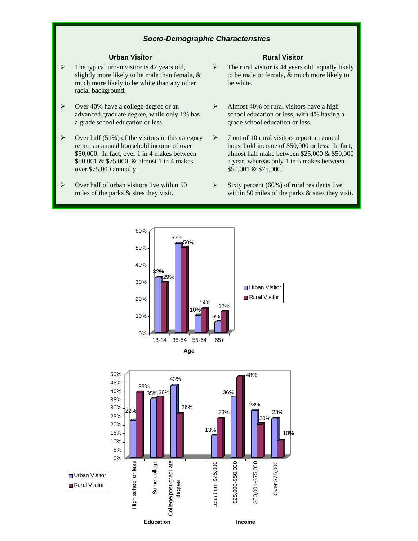### *Socio-Demographic Characteristics*

- $\triangleright$  The typical urban visitor is 42 years old, slightly more likely to be male than female, & much more likely to be white than any other racial background.
- $\triangleright$  Over 40% have a college degree or an advanced graduate degree, while only 1% has a grade school education or less.
- $\triangleright$  Over half (51%) of the visitors in this category report an annual household income of over \$50,000. In fact, over 1 in 4 makes between \$50,001 & \$75,000, & almost 1 in 4 makes over \$75,000 annually.
- $\triangleright$  Over half of urban visitors live within 50 miles of the parks & sites they visit.

### **Urban Visitor Rural Visitor Rural Visitor Rural Visitor**

- $\triangleright$  The rural visitor is 44 years old, equally likely to be male or female, & much more likely to be white.
- $\blacktriangleright$  Almost 40% of rural visitors have a high school education or less, with 4% having a grade school education or less.
- $\geq 7$  out of 10 rural visitors report an annual household income of \$50,000 or less. In fact, almost half make between \$25,000 & \$50,000 a year, whereas only 1 in 5 makes between \$50,001 & \$75,000.
- $\triangleright$  Sixty percent (60%) of rural residents live within 50 miles of the parks  $\&$  sites they visit.





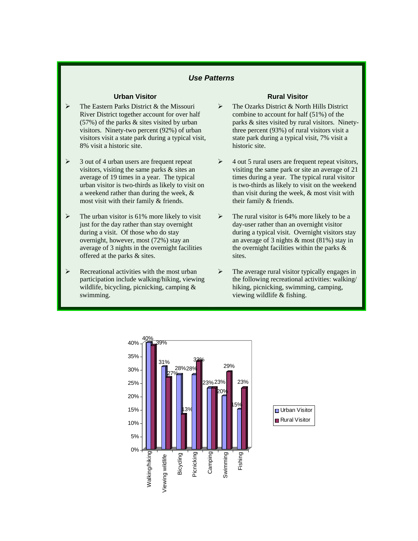- The Eastern Parks District & the Missouri River District together account for over half (57%) of the parks & sites visited by urban visitors. Ninety-two percent (92%) of urban visitors visit a state park during a typical visit, 8% visit a historic site.
- $\geq$  3 out of 4 urban users are frequent repeat visitors, visiting the same parks & sites an average of 19 times in a year. The typical urban visitor is two-thirds as likely to visit on a weekend rather than during the week, & most visit with their family & friends.
- The urban visitor is 61% more likely to visit just for the day rather than stay overnight during a visit. Of those who do stay overnight, however, most (72%) stay an average of 3 nights in the overnight facilities offered at the parks & sites.
- $\triangleright$  Recreational activities with the most urban participation include walking/hiking, viewing wildlife, bicycling, picnicking, camping & swimming.

### **Urban Visitor Rural Visitor Rural Visitor**

- $\triangleright$  The Ozarks District & North Hills District combine to account for half (51%) of the parks & sites visited by rural visitors. Ninetythree percent (93%) of rural visitors visit a state park during a typical visit, 7% visit a historic site.
- $\geq 4$  out 5 rural users are frequent repeat visitors, visiting the same park or site an average of 21 times during a year. The typical rural visitor is two-thirds as likely to visit on the weekend than visit during the week, & most visit with their family & friends.
- $\triangleright$  The rural visitor is 64% more likely to be a day-user rather than an overnight visitor during a typical visit. Overnight visitors stay an average of 3 nights & most (81%) stay in the overnight facilities within the parks  $\&$ sites.
- $\triangleright$  The average rural visitor typically engages in the following recreational activities: walking/ hiking, picnicking, swimming, camping, viewing wildlife & fishing.

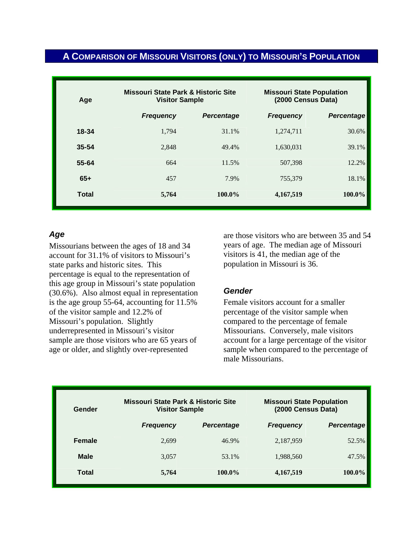## **A COMPARISON OF MISSOURI VISITORS (ONLY) TO MISSOURI'S POPULATION**

| Age          | <b>Missouri State Park &amp; Historic Site</b><br><b>Visitor Sample</b> |                   | <b>Missouri State Population</b><br>(2000 Census Data) |                   |  |
|--------------|-------------------------------------------------------------------------|-------------------|--------------------------------------------------------|-------------------|--|
|              | <b>Frequency</b>                                                        | <b>Percentage</b> | <b>Frequency</b>                                       | <b>Percentage</b> |  |
| $18 - 34$    | 1,794                                                                   | 31.1%             | 1,274,711                                              | 30.6%             |  |
| $35 - 54$    | 2.848                                                                   | 49.4%             | 1.630.031                                              | 39.1%             |  |
| 55-64        | 664                                                                     | 11.5%             | 507,398                                                | 12.2%             |  |
| $65+$        | 457                                                                     | 7.9%              | 755,379                                                | 18.1%             |  |
| <b>Total</b> | 5,764                                                                   | 100.0%            | 4,167,519                                              | 100.0%            |  |

## *Age*

Missourians between the ages of 18 and 34 account for 31.1% of visitors to Missouri's state parks and historic sites. This percentage is equal to the representation of this age group in Missouri's state population (30.6%). Also almost equal in representation is the age group 55-64, accounting for 11.5% of the visitor sample and 12.2% of Missouri's population. Slightly underrepresented in Missouri's visitor sample are those visitors who are 65 years of age or older, and slightly over-represented

are those visitors who are between 35 and 54 years of age. The median age of Missouri visitors is 41, the median age of the population in Missouri is 36.

### *Gender*

Female visitors account for a smaller percentage of the visitor sample when compared to the percentage of female Missourians. Conversely, male visitors account for a large percentage of the visitor sample when compared to the percentage of male Missourians.

| Gender        | <b>Missouri State Park &amp; Historic Site</b><br><b>Visitor Sample</b> |                   | <b>Missouri State Population</b><br>(2000 Census Data) |                   |
|---------------|-------------------------------------------------------------------------|-------------------|--------------------------------------------------------|-------------------|
|               | <b>Frequency</b>                                                        | <b>Percentage</b> | <b>Frequency</b>                                       | <b>Percentage</b> |
| <b>Female</b> | 2,699                                                                   | 46.9%             | 2,187,959                                              | 52.5%             |
| <b>Male</b>   | 3.057                                                                   | 53.1%             | 1,988,560                                              | 47.5%             |
| Total         | 5,764                                                                   | 100.0%            | 4,167,519                                              | $100.0\%$         |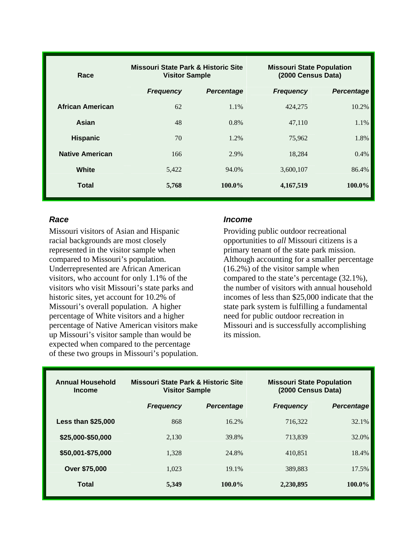| Race                    | <b>Missouri State Park &amp; Historic Site</b><br><b>Visitor Sample</b> |                   | <b>Missouri State Population</b><br>(2000 Census Data) |                   |  |
|-------------------------|-------------------------------------------------------------------------|-------------------|--------------------------------------------------------|-------------------|--|
|                         | <b>Frequency</b>                                                        | <b>Percentage</b> | <b>Frequency</b>                                       | <b>Percentage</b> |  |
| <b>African American</b> | 62                                                                      | 1.1%              | 424,275                                                | 10.2%             |  |
| Asian                   | 48                                                                      | $0.8\%$           | 47,110                                                 | 1.1%              |  |
| <b>Hispanic</b>         | 70                                                                      | 1.2%              | 75,962                                                 | 1.8%              |  |
| <b>Native American</b>  | 166                                                                     | 2.9%              | 18,284                                                 | 0.4%              |  |
| White                   | 5,422                                                                   | 94.0%             | 3,600,107                                              | 86.4%             |  |
| Total                   | 5,768                                                                   | $100.0\%$         | 4,167,519                                              | $100.0\%$         |  |

## *Race*

Missouri visitors of Asian and Hispanic racial backgrounds are most closely represented in the visitor sample when compared to Missouri's population. Underrepresented are African American visitors, who account for only 1.1% of the visitors who visit Missouri's state parks and historic sites, yet account for 10.2% of Missouri's overall population. A higher percentage of White visitors and a higher percentage of Native American visitors make up Missouri's visitor sample than would be expected when compared to the percentage of these two groups in Missouri's population.

### *Income*

Providing public outdoor recreational opportunities to *all* Missouri citizens is a primary tenant of the state park mission. Although accounting for a smaller percentage (16.2%) of the visitor sample when compared to the state's percentage (32.1%), the number of visitors with annual household incomes of less than \$25,000 indicate that the state park system is fulfilling a fundamental need for public outdoor recreation in Missouri and is successfully accomplishing its mission.

| <b>Annual Household</b><br><b>Income</b> |                  | Missouri State Park & Historic Site<br><b>Visitor Sample</b> |                  | <b>Missouri State Population</b><br>(2000 Census Data) |  |  |
|------------------------------------------|------------------|--------------------------------------------------------------|------------------|--------------------------------------------------------|--|--|
|                                          | <b>Frequency</b> | <b>Percentage</b>                                            | <b>Frequency</b> | <b>Percentage</b>                                      |  |  |
| <b>Less than \$25,000</b>                | 868              | 16.2%                                                        | 716,322          | 32.1%                                                  |  |  |
| \$25,000-\$50,000                        | 2,130            | 39.8%                                                        | 713.839          | 32.0%                                                  |  |  |
| \$50,001-\$75,000                        | 1.328            | 24.8%                                                        | 410,851          | 18.4%                                                  |  |  |
| Over \$75,000                            | 1.023            | 19.1%                                                        | 389.883          | 17.5%                                                  |  |  |
| Total                                    | 5,349            | 100.0%                                                       | 2,230,895        | $100.0\%$                                              |  |  |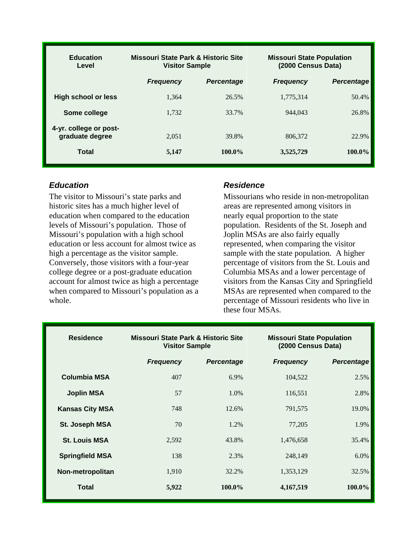| <b>Education</b><br>Level                 | Missouri State Park & Historic Site<br><b>Visitor Sample</b> |           | <b>Missouri State Population</b><br>(2000 Census Data) |                   |  |
|-------------------------------------------|--------------------------------------------------------------|-----------|--------------------------------------------------------|-------------------|--|
|                                           | <b>Frequency</b><br><b>Percentage</b>                        |           | <b>Frequency</b>                                       | <b>Percentage</b> |  |
| High school or less                       | 1.364                                                        | 26.5%     | 1,775,314                                              | 50.4%             |  |
| Some college                              | 1.732                                                        | 33.7%     | 944.043                                                | 26.8%             |  |
| 4-yr. college or post-<br>graduate degree | 2.051                                                        | 39.8%     | 806.372                                                | 22.9%             |  |
| Total                                     | 5,147                                                        | $100.0\%$ | 3,525,729                                              | 100.0%            |  |

## *Education*

The visitor to Missouri's state parks and historic sites has a much higher level of education when compared to the education levels of Missouri's population. Those of Missouri's population with a high school education or less account for almost twice as high a percentage as the visitor sample. Conversely, those visitors with a four-year college degree or a post-graduate education account for almost twice as high a percentage when compared to Missouri's population as a whole.

## *Residence*

Missourians who reside in non-metropolitan areas are represented among visitors in nearly equal proportion to the state population. Residents of the St. Joseph and Joplin MSAs are also fairly equally represented, when comparing the visitor sample with the state population. A higher percentage of visitors from the St. Louis and Columbia MSAs and a lower percentage of visitors from the Kansas City and Springfield MSAs are represented when compared to the percentage of Missouri residents who live in these four MSAs.

| <b>Residence</b>       | Missouri State Park & Historic Site<br><b>Visitor Sample</b> |                   | <b>Missouri State Population</b><br>(2000 Census Data) |                   |  |
|------------------------|--------------------------------------------------------------|-------------------|--------------------------------------------------------|-------------------|--|
|                        | <b>Frequency</b>                                             | <b>Percentage</b> | <b>Frequency</b>                                       | <b>Percentage</b> |  |
| <b>Columbia MSA</b>    | 407                                                          | 6.9%              | 104,522                                                | 2.5%              |  |
| <b>Joplin MSA</b>      | 57                                                           | 1.0%              | 116,551                                                | 2.8%              |  |
| <b>Kansas City MSA</b> | 748                                                          | 12.6%             | 791,575                                                | 19.0%             |  |
| St. Joseph MSA         | 70                                                           | 1.2%              | 77,205                                                 | 1.9%              |  |
| <b>St. Louis MSA</b>   | 2.592                                                        | 43.8%             | 1,476,658                                              | 35.4%             |  |
| <b>Springfield MSA</b> | 138                                                          | 2.3%              | 248,149                                                | 6.0%              |  |
| Non-metropolitan       | 1,910                                                        | 32.2%             | 1,353,129                                              | 32.5%             |  |
| <b>Total</b>           | 5,922                                                        | 100.0%            | 4,167,519                                              | 100.0%            |  |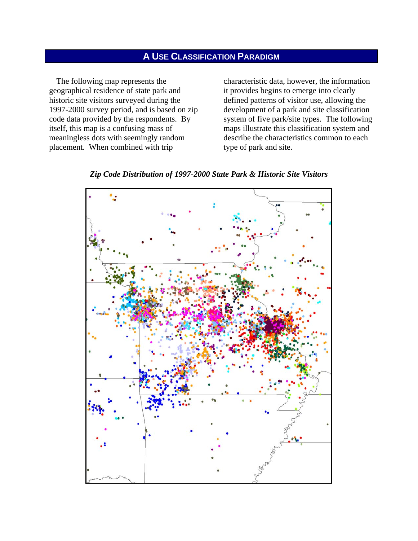## **A USE CLASSIFICATION PARADIGM**

The following map represents the geographical residence of state park and historic site visitors surveyed during the 1997-2000 survey period, and is based on zip code data provided by the respondents. By itself, this map is a confusing mass of meaningless dots with seemingly random placement. When combined with trip

characteristic data, however, the information it provides begins to emerge into clearly defined patterns of visitor use, allowing the development of a park and site classification system of five park/site types. The following maps illustrate this classification system and describe the characteristics common to each type of park and site.



*Zip Code Distribution of 1997-2000 State Park & Historic Site Visitors*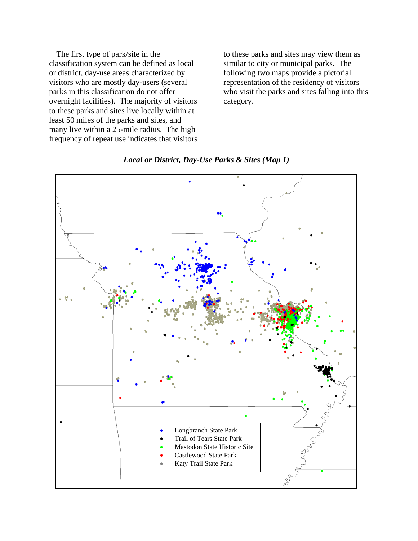The first type of park/site in the classification system can be defined as local or district, day-use areas characterized by visitors who are mostly day-users (several parks in this classification do not offer overnight facilities). The majority of visitors to these parks and sites live locally within at least 50 miles of the parks and sites, and many live within a 25-mile radius. The high frequency of repeat use indicates that visitors to these parks and sites may view them as similar to city or municipal parks. The following two maps provide a pictorial representation of the residency of visitors who visit the parks and sites falling into this category.



*Local or District, Day-Use Parks & Sites (Map 1)*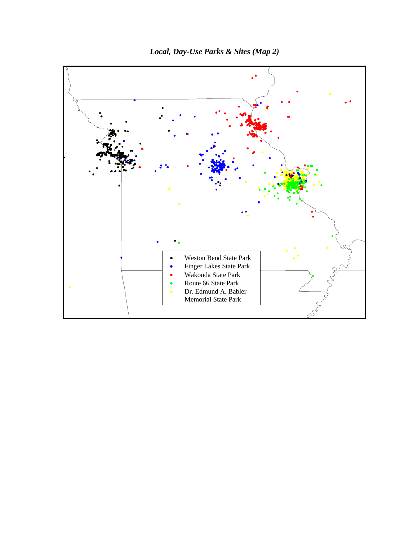

*Local, Day-Use Parks & Sites (Map 2)*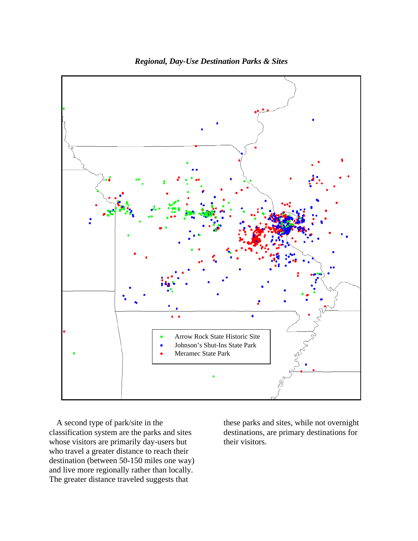

*Regional, Day-Use Destination Parks & Sites* 

A second type of park/site in the classification system are the parks and sites whose visitors are primarily day-users but who travel a greater distance to reach their destination (between 50-150 miles one way) and live more regionally rather than locally. The greater distance traveled suggests that

these parks and sites, while not overnight destinations, are primary destinations for their visitors.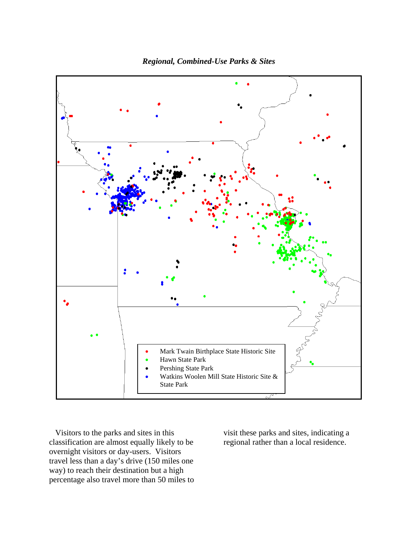

*Regional, Combined-Use Parks & Sites* 

 Visitors to the parks and sites in this classification are almost equally likely to be overnight visitors or day-users. Visitors travel less than a day's drive (150 miles one way) to reach their destination but a high percentage also travel more than 50 miles to visit these parks and sites, indicating a regional rather than a local residence.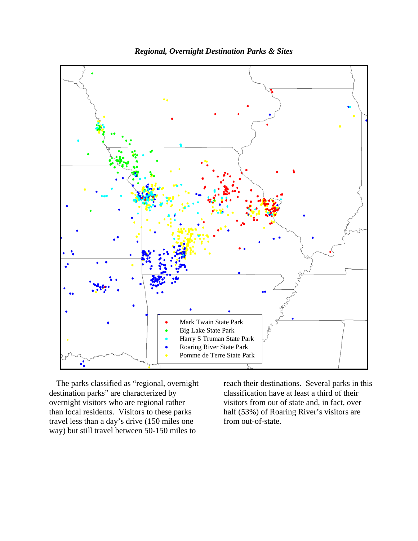

*Regional, Overnight Destination Parks & Sites* 

The parks classified as "regional, overnight destination parks" are characterized by overnight visitors who are regional rather than local residents. Visitors to these parks travel less than a day's drive (150 miles one way) but still travel between 50-150 miles to

reach their destinations. Several parks in this classification have at least a third of their visitors from out of state and, in fact, over half (53%) of Roaring River's visitors are from out-of-state.